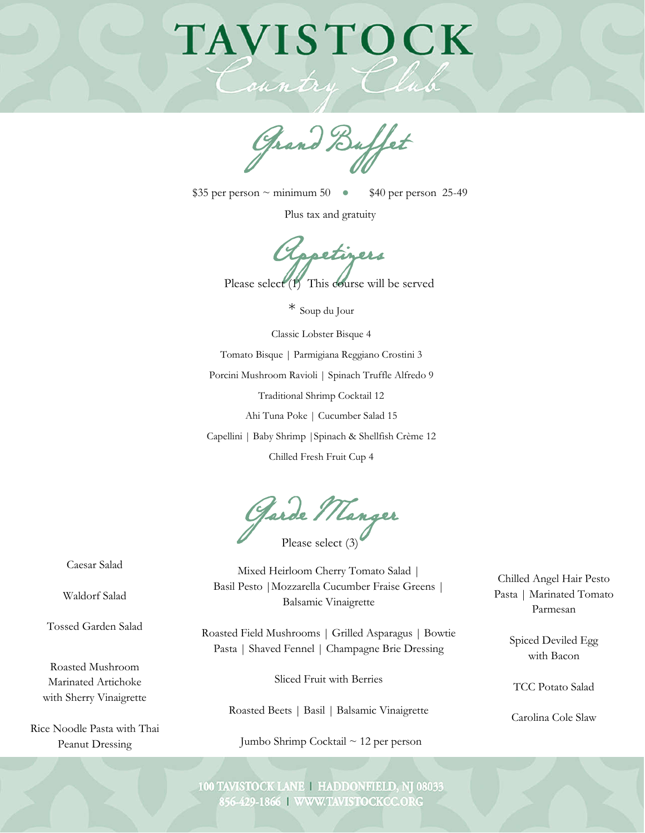## TAVISTOCK

Grand Buffet

 $$35$  per person ~ minimum 50  $\bullet$  \$40 per person 25-49

Plus tax and gratuity

Oppetigers<br>Please select (1) This course will be served

\* Soup du Jour

Classic Lobster Bisque 4 Tomato Bisque | Parmigiana Reggiano Crostini 3 Porcini Mushroom Ravioli | Spinach Truffle Alfredo 9 Traditional Shrimp Cocktail 12 Ahi Tuna Poke | Cucumber Salad 15 Capellini | Baby Shrimp |Spinach & Shellfish Crème 12

Chilled Fresh Fruit Cup 4

Please select (3) Garde Manger

Caesar Salad

Waldorf Salad

Tossed Garden Salad

Roasted Mushroom Marinated Artichoke with Sherry Vinaigrette

Rice Noodle Pasta with Thai Peanut Dressing

Mixed Heirloom Cherry Tomato Salad | Basil Pesto |Mozzarella Cucumber Fraise Greens | Balsamic Vinaigrette

Roasted Field Mushrooms | Grilled Asparagus | Bowtie Pasta | Shaved Fennel | Champagne Brie Dressing

Sliced Fruit with Berries

Roasted Beets | Basil | Balsamic Vinaigrette

Jumbo Shrimp Cocktail ~ 12 per person

Chilled Angel Hair Pesto Pasta | Marinated Tomato Parmesan

> Spiced Deviled Egg with Bacon

TCC Potato Salad

Carolina Cole Slaw

100 TAVISTOCK LANE | HADDONFIELD, NJ 08033 856-429-1866 | WWW.TAVISTOCKCC.ORG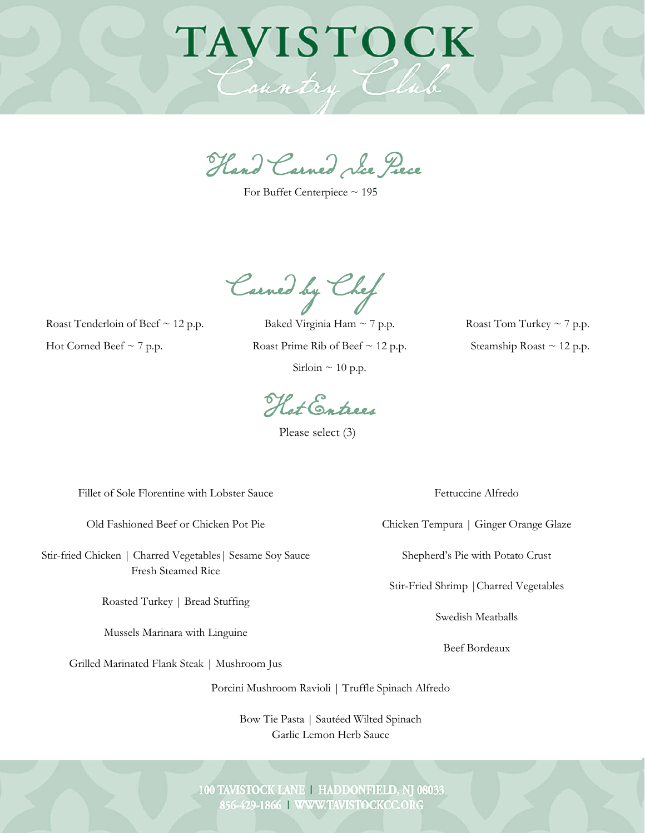## TAVISTOCK Country

Hand Carved Ice Piece

For Buffet Centerpiece ~ 195

Carved by Chef

Roast Tenderloin of Beef  $\sim$  12 p.p. Hot Corned Beef  $\sim$  7 p.p.

Baked Virginia Ham  $\sim$  7 p.p. Roast Prime Rib of Beef  $\sim$  12 p.p. Sirloin  $\sim$  10 p.p.

Roast Tom Turkey  $\sim$  7 p.p. Steamship Roast  $\sim$  12 p.p.

Hot Entrees

Please select (3)

Fillet of Sole Florentine with Lobster Sauce

Old Fashioned Beef or Chicken Pot Pie

Stir-fried Chicken | Charred Vegetables| Sesame Soy Sauce Fresh Steamed Rice

Roasted Turkey | Bread Stuffing

Mussels Marinara with Linguine

Grilled Marinated Flank Steak | Mushroom Jus

Porcini Mushroom Ravioli | Truffle Spinach Alfredo

Bow Tie Pasta | Sautéed Wilted Spinach Garlic Lemon Herb Sauce

Fettuccine Alfredo

Chicken Tempura | Ginger Orange Glaze

Shepherd's Pie with Potato Crust

Stir-Fried Shrimp |Charred Vegetables

Swedish Meatballs

Beef Bordeaux

100 TAVISTOCK LANE | HADDONFIELD, NJ 08033 856-429-1866 | WWW.TAVISTOCKCC.ORG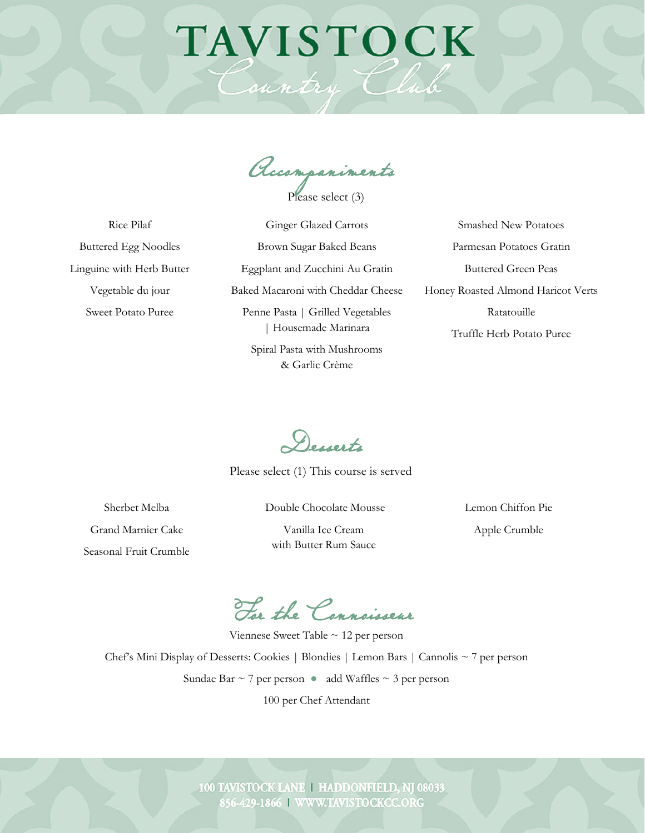## TAVISTOCK

Country Club

Accompaniments

Please select (3)

Rice Pilaf Buttered Egg Noodles Linguine with Herb Butter Vegetable du jour Sweet Potato Puree

Ginger Glazed Carrots Brown Sugar Baked Beans Eggplant and Zucchini Au Gratin Baked Macaroni with Cheddar Cheese Penne Pasta | Grilled Vegetables | Housemade Marinara

> Spiral Pasta with Mushrooms & Garlic Crème

Smashed New Potatoes Parmesan Potatoes Gratin Buttered Green Peas Honey Roasted Almond Haricot Verts Ratatouille Truffle Herb Potato Puree

Desserts

Please select (1) This course is served

Sherbet Melba Grand Marnier Cake Seasonal Fruit Crumble Double Chocolate Mousse Vanilla Ice Cream with Butter Rum Sauce

Lemon Chiffon Pie Apple Crumble

For the Connoisseur

Viennese Sweet Table ~ 12 per person Chef's Mini Display of Desserts: Cookies | Blondies | Lemon Bars | Cannolis ~ 7 per person Sundae Bar  $\sim$  7 per person  $\bullet$  add Waffles  $\sim$  3 per person

100 per Chef Attendant

100 TAVISTOCK LANE | HADDONFIELD, NJ 08033 856-429-1866 | WWW.TAVISTOCKCC.ORG